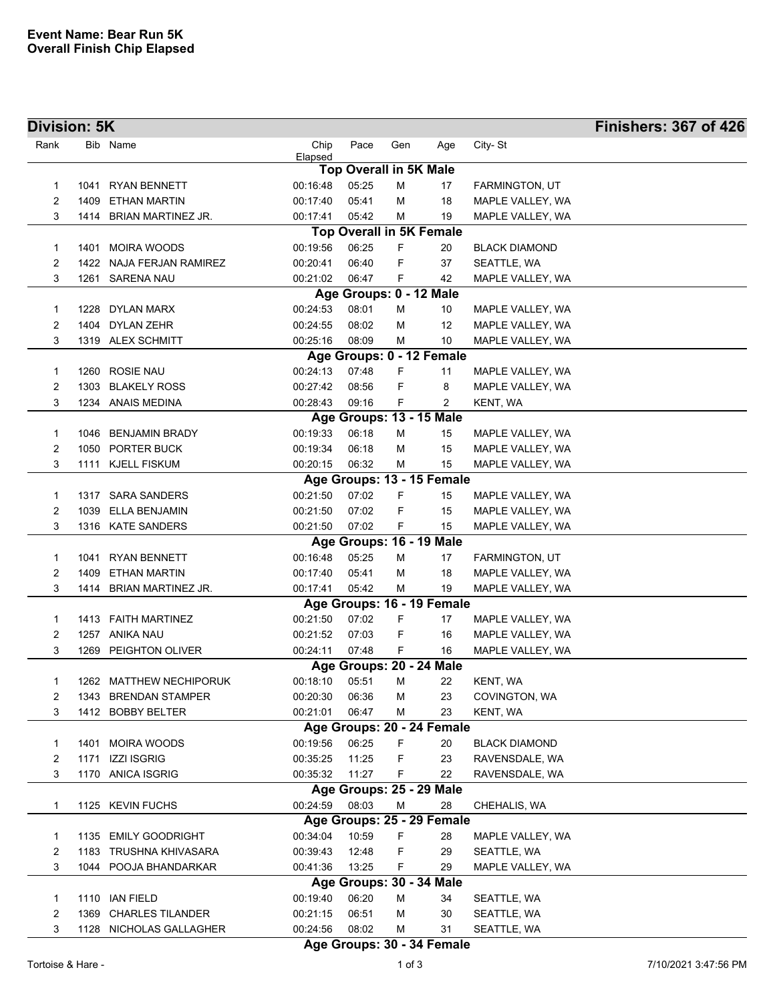| Division: 5K |      |                          |          |                               |        |                                 |                                    | <b>Finishers: 367 of 426</b> |
|--------------|------|--------------------------|----------|-------------------------------|--------|---------------------------------|------------------------------------|------------------------------|
| Rank         |      | Bib Name                 | Chip     | Pace                          | Gen    | Age                             | City-St                            |                              |
|              |      |                          | Elapsed  | <b>Top Overall in 5K Male</b> |        |                                 |                                    |                              |
| 1            | 1041 | <b>RYAN BENNETT</b>      | 00:16:48 | 05:25                         | М      | 17                              | FARMINGTON, UT                     |                              |
| 2            | 1409 | ETHAN MARTIN             | 00:17:40 | 05:41                         | M      | 18                              | MAPLE VALLEY, WA                   |                              |
| 3            |      | 1414 BRIAN MARTINEZ JR.  | 00:17:41 | 05:42                         | M      | 19                              | MAPLE VALLEY, WA                   |                              |
|              |      |                          |          |                               |        | <b>Top Overall in 5K Female</b> |                                    |                              |
| 1            |      | 1401 MOIRA WOODS         | 00:19:56 | 06:25                         | F      | 20                              | <b>BLACK DIAMOND</b>               |                              |
| 2            |      | 1422 NAJA FERJAN RAMIREZ | 00:20:41 | 06:40                         | F      | 37                              | SEATTLE, WA                        |                              |
| 3            |      | 1261 SARENA NAU          | 00:21:02 | 06:47                         | F      | 42                              | MAPLE VALLEY, WA                   |                              |
|              |      |                          |          | Age Groups: 0 - 12 Male       |        |                                 |                                    |                              |
| 1            |      | 1228 DYLAN MARX          | 00:24:53 | 08:01                         | м      | 10                              | MAPLE VALLEY, WA                   |                              |
| 2            |      | 1404 DYLAN ZEHR          | 00:24:55 | 08:02                         | М      | 12                              | MAPLE VALLEY, WA                   |                              |
| 3            |      | 1319 ALEX SCHMITT        | 00:25:16 | 08:09                         | М      | 10                              | MAPLE VALLEY, WA                   |                              |
|              |      |                          |          |                               |        | Age Groups: 0 - 12 Female       |                                    |                              |
| 1            |      | 1260 ROSIE NAU           | 00:24:13 | 07:48                         | F      | 11                              | MAPLE VALLEY, WA                   |                              |
| 2            | 1303 | <b>BLAKELY ROSS</b>      | 00:27:42 | 08:56                         | F      | 8                               | MAPLE VALLEY, WA                   |                              |
| 3            |      | 1234 ANAIS MEDINA        | 00:28:43 | 09:16                         | F      | $\overline{2}$                  | KENT, WA                           |                              |
|              |      |                          |          |                               |        | Age Groups: 13 - 15 Male        |                                    |                              |
| 1            |      | 1046 BENJAMIN BRADY      | 00:19:33 | 06:18                         | м      | 15                              | MAPLE VALLEY, WA                   |                              |
| 2            |      | 1050 PORTER BUCK         | 00:19:34 | 06:18                         | м      | 15                              | MAPLE VALLEY, WA                   |                              |
| 3            |      | 1111 KJELL FISKUM        | 00:20:15 | 06:32                         | М      | 15                              | MAPLE VALLEY, WA                   |                              |
|              |      |                          |          |                               |        | Age Groups: 13 - 15 Female      |                                    |                              |
| 1            |      | 1317 SARA SANDERS        | 00:21:50 | 07:02                         | F      | 15                              | MAPLE VALLEY, WA                   |                              |
| 2            | 1039 | ELLA BENJAMIN            | 00:21:50 | 07:02                         | F      | 15                              | MAPLE VALLEY, WA                   |                              |
| 3            |      | 1316 KATE SANDERS        | 00:21:50 | 07:02                         | F      | 15                              | MAPLE VALLEY, WA                   |                              |
|              |      | 1041 RYAN BENNETT        | 00:16:48 | 05:25                         |        | Age Groups: 16 - 19 Male<br>17  |                                    |                              |
| 1<br>2       | 1409 | ETHAN MARTIN             | 00:17:40 | 05:41                         | М<br>М | 18                              | FARMINGTON, UT<br>MAPLE VALLEY, WA |                              |
| 3            |      | 1414 BRIAN MARTINEZ JR.  | 00:17:41 | 05:42                         | М      | 19                              | MAPLE VALLEY, WA                   |                              |
|              |      |                          |          |                               |        | Age Groups: 16 - 19 Female      |                                    |                              |
| 1            |      | 1413 FAITH MARTINEZ      | 00:21:50 | 07:02                         | F      | 17                              | MAPLE VALLEY, WA                   |                              |
| 2            |      | 1257 ANIKA NAU           | 00:21:52 | 07:03                         | F      | 16                              | MAPLE VALLEY, WA                   |                              |
| 3            | 1269 | PEIGHTON OLIVER          | 00:24:11 | 07:48                         | F      | 16                              | MAPLE VALLEY, WA                   |                              |
|              |      |                          |          |                               |        | Age Groups: 20 - 24 Male        |                                    |                              |
| 1            |      | 1262 MATTHEW NECHIPORUK  | 00:18:10 | 05:51                         | Μ      | 22                              | KENT, WA                           |                              |
| 2            |      | 1343 BRENDAN STAMPER     | 00:20:30 | 06:36                         | М      | 23                              | COVINGTON, WA                      |                              |
| 3            |      | 1412 BOBBY BELTER        | 00:21:01 | 06:47                         | M      | 23                              | KENT, WA                           |                              |
|              |      |                          |          |                               |        | Age Groups: 20 - 24 Female      |                                    |                              |
| 1            |      | 1401 MOIRA WOODS         | 00:19:56 | 06:25                         | F      | 20                              | <b>BLACK DIAMOND</b>               |                              |
| 2            | 1171 | <b>IZZI ISGRIG</b>       | 00:35:25 | 11:25                         | F      | 23                              | RAVENSDALE, WA                     |                              |
| 3            |      | 1170 ANICA ISGRIG        | 00:35:32 | 11:27                         | F      | 22                              | RAVENSDALE, WA                     |                              |
|              |      |                          |          |                               |        | Age Groups: 25 - 29 Male        |                                    |                              |
| 1            |      | 1125 KEVIN FUCHS         | 00:24:59 | 08:03                         | М      | 28                              | CHEHALIS, WA                       |                              |
|              |      |                          |          |                               |        | Age Groups: 25 - 29 Female      |                                    |                              |
| 1            |      | 1135 EMILY GOODRIGHT     | 00:34:04 | 10:59                         | F      | 28                              | MAPLE VALLEY, WA                   |                              |
| 2            | 1183 | TRUSHNA KHIVASARA        | 00:39:43 | 12:48                         | F      | 29                              | SEATTLE, WA                        |                              |
| 3            |      | 1044 POOJA BHANDARKAR    | 00:41:36 | 13:25                         | F      | 29                              | MAPLE VALLEY, WA                   |                              |
|              |      |                          |          |                               |        | Age Groups: 30 - 34 Male        |                                    |                              |
| 1            |      | 1110 IAN FIELD           | 00:19:40 | 06:20                         | М      | 34                              | SEATTLE, WA                        |                              |
| 2            | 1369 | <b>CHARLES TILANDER</b>  | 00:21:15 | 06:51                         | М      | 30                              | SEATTLE, WA                        |                              |
| 3            |      | 1128 NICHOLAS GALLAGHER  | 00:24:56 | 08:02                         | м      | 31                              | SEATTLE, WA                        |                              |

## **Age Groups: 30 - 34 Female**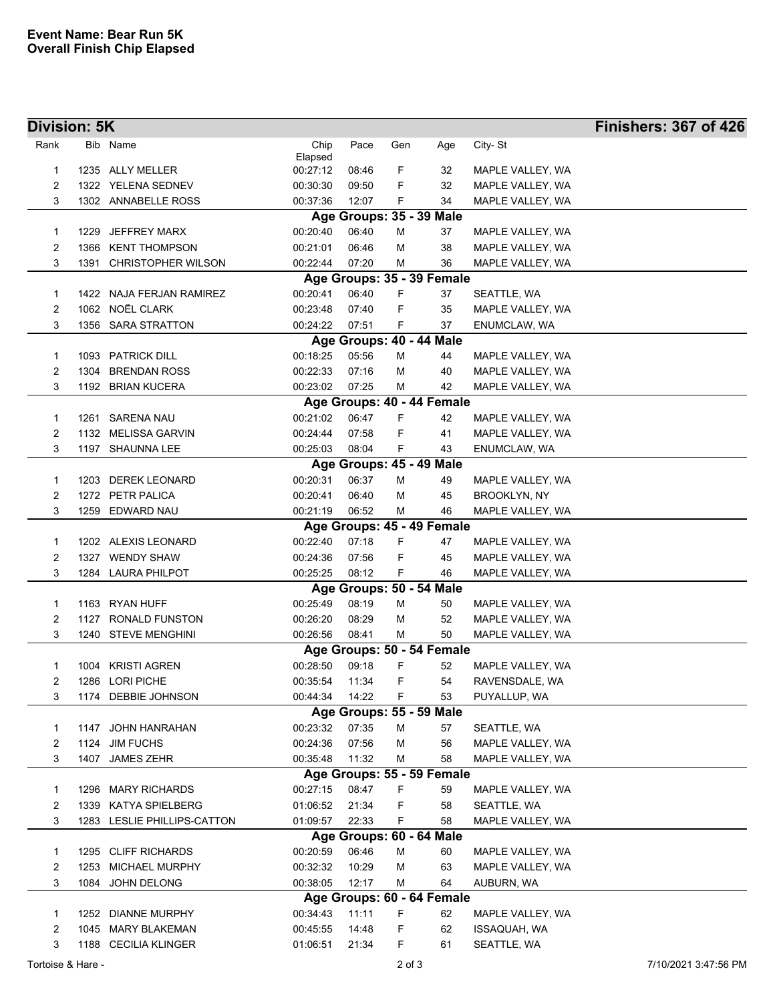| Division: 5K      |      |                             |          |       |            |                                |                                      | <b>Finishers: 367 of 426</b> |
|-------------------|------|-----------------------------|----------|-------|------------|--------------------------------|--------------------------------------|------------------------------|
| Rank              |      | Bib Name                    | Chip     | Pace  | Gen        | Age                            | City-St                              |                              |
|                   |      |                             | Elapsed  |       |            |                                |                                      |                              |
| 1                 |      | 1235 ALLY MELLER            | 00:27:12 | 08:46 | F          | 32                             | MAPLE VALLEY, WA                     |                              |
| 2                 |      | 1322 YELENA SEDNEV          | 00:30:30 | 09:50 | F          | 32                             | MAPLE VALLEY, WA                     |                              |
| 3                 |      | 1302 ANNABELLE ROSS         | 00:37:36 | 12:07 | F          | 34                             | MAPLE VALLEY, WA                     |                              |
|                   |      |                             |          |       |            | Age Groups: 35 - 39 Male       |                                      |                              |
| 1                 |      | 1229 JEFFREY MARX           | 00:20:40 | 06:40 | M          | 37                             | MAPLE VALLEY, WA                     |                              |
| 2                 |      | 1366 KENT THOMPSON          | 00:21:01 | 06:46 | М          | 38                             | MAPLE VALLEY, WA                     |                              |
| 3                 |      | 1391 CHRISTOPHER WILSON     | 00:22:44 | 07:20 | М          | 36                             | MAPLE VALLEY, WA                     |                              |
|                   |      |                             |          |       |            | Age Groups: 35 - 39 Female     |                                      |                              |
| 1                 |      | 1422 NAJA FERJAN RAMIREZ    | 00:20:41 | 06:40 | F          | 37                             | SEATTLE, WA                          |                              |
| $\overline{c}$    |      | 1062 NOËL CLARK             | 00:23:48 | 07:40 | F          | 35                             | MAPLE VALLEY, WA                     |                              |
| 3                 |      | 1356 SARA STRATTON          | 00:24:22 | 07:51 | F          | 37                             | ENUMCLAW, WA                         |                              |
|                   |      |                             |          |       |            | Age Groups: 40 - 44 Male       |                                      |                              |
| 1                 |      | 1093 PATRICK DILL           | 00:18:25 | 05:56 | м          | 44                             | MAPLE VALLEY, WA                     |                              |
| 2                 | 1304 | <b>BRENDAN ROSS</b>         | 00:22:33 | 07:16 | м          | 40                             | MAPLE VALLEY, WA                     |                              |
| 3                 |      | 1192 BRIAN KUCERA           | 00:23:02 | 07:25 | м          | 42                             | MAPLE VALLEY, WA                     |                              |
|                   |      |                             |          |       |            | Age Groups: 40 - 44 Female     |                                      |                              |
| 1                 |      | 1261 SARENA NAU             | 00:21:02 | 06:47 | F          | 42                             | MAPLE VALLEY, WA                     |                              |
| 2                 |      | 1132 MELISSA GARVIN         | 00:24:44 | 07:58 | F          | 41                             | MAPLE VALLEY, WA                     |                              |
| 3                 |      | 1197 SHAUNNA LEE            | 00:25:03 | 08:04 | F          | 43                             | ENUMCLAW, WA                         |                              |
|                   |      |                             |          |       |            | Age Groups: 45 - 49 Male       |                                      |                              |
| 1                 |      | 1203 DEREK LEONARD          | 00:20:31 | 06:37 | м          | 49                             | MAPLE VALLEY, WA                     |                              |
| $\overline{c}$    |      | 1272 PETR PALICA            | 00:20:41 | 06:40 | м          | 45                             | <b>BROOKLYN, NY</b>                  |                              |
| 3                 |      | 1259 EDWARD NAU             | 00:21:19 | 06:52 | м          | 46                             | MAPLE VALLEY, WA                     |                              |
|                   |      |                             |          |       |            | Age Groups: 45 - 49 Female     |                                      |                              |
| 1                 |      | 1202 ALEXIS LEONARD         | 00:22:40 | 07:18 | F          | 47                             | MAPLE VALLEY, WA                     |                              |
| 2                 |      | 1327 WENDY SHAW             | 00:24:36 | 07:56 | F          | 45                             | MAPLE VALLEY, WA                     |                              |
| 3                 |      | 1284 LAURA PHILPOT          | 00:25:25 | 08:12 | F.         | 46                             | MAPLE VALLEY, WA                     |                              |
|                   |      |                             |          |       |            | Age Groups: 50 - 54 Male       |                                      |                              |
| 1                 |      | 1163 RYAN HUFF              | 00:25:49 | 08:19 | M          | 50                             | MAPLE VALLEY, WA                     |                              |
| 2                 |      | 1127 RONALD FUNSTON         | 00:26:20 | 08:29 | М          | 52                             | MAPLE VALLEY, WA                     |                              |
| 3                 |      | 1240 STEVE MENGHINI         | 00:26:56 | 08:41 | м          | 50                             | MAPLE VALLEY, WA                     |                              |
|                   |      |                             |          |       |            | Age Groups: 50 - 54 Female     |                                      |                              |
| 1                 |      | 1004 KRISTI AGREN           | 00:28:50 | 09:18 | F          | 52                             | MAPLE VALLEY, WA                     |                              |
| 2                 |      | 1286 LORI PICHE             | 00:35:54 | 11:34 | F.         | 54                             | RAVENSDALE, WA                       |                              |
| 3                 |      | 1174 DEBBIE JOHNSON         | 00:44:34 | 14:22 | F.         | 53                             | PUYALLUP, WA                         |                              |
|                   |      |                             |          |       |            | Age Groups: 55 - 59 Male       |                                      |                              |
| 1                 |      | 1147 JOHN HANRAHAN          | 00:23:32 | 07:35 | м          | 57                             | SEATTLE, WA                          |                              |
| 2                 | 1124 | <b>JIM FUCHS</b>            | 00:24:36 | 07:56 | M          | 56                             | MAPLE VALLEY, WA                     |                              |
| 3                 | 1407 | <b>JAMES ZEHR</b>           | 00:35:48 | 11:32 | M          | 58                             | MAPLE VALLEY, WA                     |                              |
|                   |      |                             |          |       |            | Age Groups: 55 - 59 Female     |                                      |                              |
| 1                 |      | 1296 MARY RICHARDS          | 00:27:15 | 08:47 | F          | 59                             | MAPLE VALLEY, WA                     |                              |
| $\overline{c}$    | 1339 | KATYA SPIELBERG             | 01:06:52 | 21:34 | F          | 58                             | SEATTLE, WA                          |                              |
| 3                 |      | 1283 LESLIE PHILLIPS-CATTON | 01:09:57 | 22:33 | F          | 58                             | MAPLE VALLEY, WA                     |                              |
|                   |      | 1295 CLIFF RICHARDS         | 00:20:59 | 06:46 | M          | Age Groups: 60 - 64 Male<br>60 |                                      |                              |
| 1<br>2            | 1253 | <b>MICHAEL MURPHY</b>       | 00:32:32 | 10:29 | М          | 63                             | MAPLE VALLEY, WA<br>MAPLE VALLEY, WA |                              |
| 3                 |      | 1084 JOHN DELONG            | 00:38:05 | 12:17 | м          | 64                             | AUBURN, WA                           |                              |
|                   |      |                             |          |       |            | Age Groups: 60 - 64 Female     |                                      |                              |
| 1                 |      | 1252 DIANNE MURPHY          | 00:34:43 | 11:11 | F          | 62                             | MAPLE VALLEY, WA                     |                              |
| 2                 |      | 1045 MARY BLAKEMAN          | 00:45:55 | 14:48 | F          | 62                             | ISSAQUAH, WA                         |                              |
| 3                 |      | 1188 CECILIA KLINGER        | 01:06:51 | 21:34 | F          | 61                             | SEATTLE, WA                          |                              |
|                   |      |                             |          |       |            |                                |                                      |                              |
| Tortoise & Hare - |      |                             |          |       | $2$ of $3$ |                                |                                      | 7/10/2021 3:47:56 PM         |